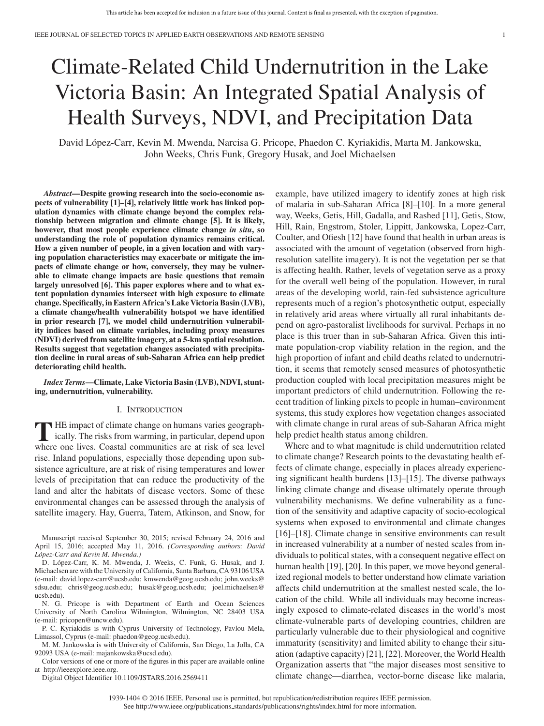# Climate-Related Child Undernutrition in the Lake Victoria Basin: An Integrated Spatial Analysis of Health Surveys, NDVI, and Precipitation Data

David Lopez-Carr, Kevin M. Mwenda, Narcisa G. Pricope, Phaedon C. Kyriakidis, Marta M. Jankowska, ´ John Weeks, Chris Funk, Gregory Husak, and Joel Michaelsen

*Abstract***—Despite growing research into the socio-economic aspects of vulnerability [1]–[4], relatively little work has linked population dynamics with climate change beyond the complex relationship between migration and climate change [5]. It is likely, however, that most people experience climate change** *in situ***, so understanding the role of population dynamics remains critical. How a given number of people, in a given location and with varying population characteristics may exacerbate or mitigate the impacts of climate change or how, conversely, they may be vulnerable to climate change impacts are basic questions that remain largely unresolved [6]. This paper explores where and to what extent population dynamics intersect with high exposure to climate change. Specifically, in Eastern Africa's Lake Victoria Basin (LVB), a climate change/health vulnerability hotspot we have identified in prior research [7], we model child undernutrition vulnerability indices based on climate variables, including proxy measures (NDVI) derived from satellite imagery, at a 5-km spatial resolution. Results suggest that vegetation changes associated with precipitation decline in rural areas of sub-Saharan Africa can help predict deteriorating child health.**

*Index Terms***—Climate, Lake Victoria Basin (LVB), NDVI, stunting, undernutrition, vulnerability.**

# I. INTRODUCTION

**T** HE impact of climate change on humans varies geograph-<br>ically. The risks from warming, in particular, depend upon where one lives. Coastal communities are at risk of sea level rise. Inland populations, especially those depending upon subsistence agriculture, are at risk of rising temperatures and lower levels of precipitation that can reduce the productivity of the land and alter the habitats of disease vectors. Some of these environmental changes can be assessed through the analysis of satellite imagery. Hay, Guerra, Tatem, Atkinson, and Snow, for

N. G. Pricope is with Department of Earth and Ocean Sciences University of North Carolina Wilmington, Wilmington, NC 28403 USA (e-mail: pricopen@uncw.edu).

P. C. Kyriakidis is with Cyprus University of Technology, Pavlou Mela, Limassol, Cyprus (e-mail: phaedon@geog.ucsb.edu).

M. M. Jankowska is with University of California, San Diego, La Jolla, CA 92093 USA (e-mail: majankowska@ucsd.edu).

Color versions of one or more of the figures in this paper are available online at http://ieeexplore.ieee.org.

Digital Object Identifier 10.1109/JSTARS.2016.2569411

example, have utilized imagery to identify zones at high risk of malaria in sub-Saharan Africa [8]–[10]. In a more general way, Weeks, Getis, Hill, Gadalla, and Rashed [11], Getis, Stow, Hill, Rain, Engstrom, Stoler, Lippitt, Jankowska, Lopez-Carr, Coulter, and Ofiesh [12] have found that health in urban areas is associated with the amount of vegetation (observed from highresolution satellite imagery). It is not the vegetation per se that is affecting health. Rather, levels of vegetation serve as a proxy for the overall well being of the population. However, in rural areas of the developing world, rain-fed subsistence agriculture represents much of a region's photosynthetic output, especially in relatively arid areas where virtually all rural inhabitants depend on agro-pastoralist livelihoods for survival. Perhaps in no place is this truer than in sub-Saharan Africa. Given this intimate population-crop viability relation in the region, and the high proportion of infant and child deaths related to undernutrition, it seems that remotely sensed measures of photosynthetic production coupled with local precipitation measures might be important predictors of child undernutrition. Following the recent tradition of linking pixels to people in human–environment systems, this study explores how vegetation changes associated with climate change in rural areas of sub-Saharan Africa might help predict health status among children.

Where and to what magnitude is child undernutrition related to climate change? Research points to the devastating health effects of climate change, especially in places already experiencing significant health burdens [13]–[15]. The diverse pathways linking climate change and disease ultimately operate through vulnerability mechanisms. We define vulnerability as a function of the sensitivity and adaptive capacity of socio-ecological systems when exposed to environmental and climate changes [16]–[18]. Climate change in sensitive environments can result in increased vulnerability at a number of nested scales from individuals to political states, with a consequent negative effect on human health [19], [20]. In this paper, we move beyond generalized regional models to better understand how climate variation affects child undernutrition at the smallest nested scale, the location of the child. While all individuals may become increasingly exposed to climate-related diseases in the world's most climate-vulnerable parts of developing countries, children are particularly vulnerable due to their physiological and cognitive immaturity (sensitivity) and limited ability to change their situation (adaptive capacity) [21], [22]. Moreover, the World Health Organization asserts that "the major diseases most sensitive to climate change—diarrhea, vector-borne disease like malaria,

1939-1404 © 2016 IEEE. Personal use is permitted, but republication/redistribution requires IEEE permission. See http://www.ieee.org/publications\_[standards/publications/rights/index.html](http://www.ieee.org/publications_standards/publications/rights/index.html) for more information.

Manuscript received September 30, 2015; revised February 24, 2016 and April 15, 2016; accepted May 11, 2016. *(Corresponding authors: David Lopez-Carr and Kevin M. Mwenda.) ´*

D. López-Carr, K. M. Mwenda, J. Weeks, C. Funk, G. Husak, and J. Michaelsen are with the University of California, Santa Barbara, CA 93106 USA (e-mail: david.lopez-carr@ucsb.edu; kmwenda@geog.ucsb.edu; john.weeks@ sdsu.edu; chris@geog.ucsb.edu; husak@geog.ucsb.edu; joel.michaelsen@ ucsb.edu).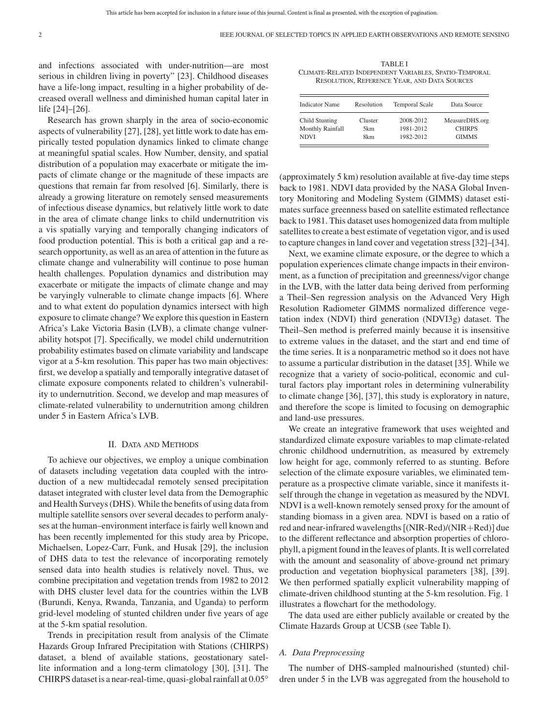and infections associated with under-nutrition—are most serious in children living in poverty" [23]. Childhood diseases have a life-long impact, resulting in a higher probability of decreased overall wellness and diminished human capital later in life [24]–[26].

Research has grown sharply in the area of socio-economic aspects of vulnerability [27], [28], yet little work to date has empirically tested population dynamics linked to climate change at meaningful spatial scales. How Number, density, and spatial distribution of a population may exacerbate or mitigate the impacts of climate change or the magnitude of these impacts are questions that remain far from resolved [6]. Similarly, there is already a growing literature on remotely sensed measurements of infectious disease dynamics, but relatively little work to date in the area of climate change links to child undernutrition vis a vis spatially varying and temporally changing indicators of food production potential. This is both a critical gap and a research opportunity, as well as an area of attention in the future as climate change and vulnerability will continue to pose human health challenges. Population dynamics and distribution may exacerbate or mitigate the impacts of climate change and may be varyingly vulnerable to climate change impacts [6]. Where and to what extent do population dynamics intersect with high exposure to climate change? We explore this question in Eastern Africa's Lake Victoria Basin (LVB), a climate change vulnerability hotspot [7]. Specifically, we model child undernutrition probability estimates based on climate variability and landscape vigor at a 5-km resolution. This paper has two main objectives: first, we develop a spatially and temporally integrative dataset of climate exposure components related to children's vulnerability to undernutrition. Second, we develop and map measures of climate-related vulnerability to undernutrition among children under 5 in Eastern Africa's LVB.

#### II. DATA AND METHODS

To achieve our objectives, we employ a unique combination of datasets including vegetation data coupled with the introduction of a new multidecadal remotely sensed precipitation dataset integrated with cluster level data from the Demographic and Health Surveys (DHS). While the benefits of using data from multiple satellite sensors over several decades to perform analyses at the human–environment interface is fairly well known and has been recently implemented for this study area by Pricope, Michaelsen, Lopez-Carr, Funk, and Husak [29], the inclusion of DHS data to test the relevance of incorporating remotely sensed data into health studies is relatively novel. Thus, we combine precipitation and vegetation trends from 1982 to 2012 with DHS cluster level data for the countries within the LVB (Burundi, Kenya, Rwanda, Tanzania, and Uganda) to perform grid-level modeling of stunted children under five years of age at the 5-km spatial resolution.

Trends in precipitation result from analysis of the Climate Hazards Group Infrared Precipitation with Stations (CHIRPS) dataset, a blend of available stations, geostationary satellite information and a long-term climatology [30], [31]. The CHIRPS dataset is a near-real-time, quasi-global rainfall at 0.05°

TABLE I CLIMATE-RELATED INDEPENDENT VARIABLES, SPATIO-TEMPORAL RESOLUTION, REFERENCE YEAR, AND DATA SOURCES

| <b>Indicator Name</b> | Resolution | <b>Temporal Scale</b> | Data Source    |
|-----------------------|------------|-----------------------|----------------|
| Child Stunting        | Cluster    | 2008-2012             | MeasureDHS.org |
| Monthly Rainfall      | 5km        | 1981-2012             | <b>CHIRPS</b>  |
| <b>NDVI</b>           | 8km        | 1982-2012             | <b>GIMMS</b>   |

(approximately 5 km) resolution available at five-day time steps back to 1981. NDVI data provided by the NASA Global Inventory Monitoring and Modeling System (GIMMS) dataset estimates surface greenness based on satellite estimated reflectance back to 1981. This dataset uses homogenized data from multiple satellites to create a best estimate of vegetation vigor, and is used to capture changes in land cover and vegetation stress [32]–[34].

Next, we examine climate exposure, or the degree to which a population experiences climate change impacts in their environment, as a function of precipitation and greenness/vigor change in the LVB, with the latter data being derived from performing a Theil–Sen regression analysis on the Advanced Very High Resolution Radiometer GIMMS normalized difference vegetation index (NDVI) third generation (NDVI3g) dataset. The Theil–Sen method is preferred mainly because it is insensitive to extreme values in the dataset, and the start and end time of the time series. It is a nonparametric method so it does not have to assume a particular distribution in the dataset [35]. While we recognize that a variety of socio-political, economic and cultural factors play important roles in determining vulnerability to climate change [36], [37], this study is exploratory in nature, and therefore the scope is limited to focusing on demographic and land-use pressures.

We create an integrative framework that uses weighted and standardized climate exposure variables to map climate-related chronic childhood undernutrition, as measured by extremely low height for age, commonly referred to as stunting. Before selection of the climate exposure variables, we eliminated temperature as a prospective climate variable, since it manifests itself through the change in vegetation as measured by the NDVI. NDVI is a well-known remotely sensed proxy for the amount of standing biomass in a given area. NDVI is based on a ratio of red and near-infrared wavelengths[(NIR-Red)/(NIR+Red)] due to the different reflectance and absorption properties of chlorophyll, a pigment found in the leaves of plants. It is well correlated with the amount and seasonality of above-ground net primary production and vegetation biophysical parameters [38], [39]. We then performed spatially explicit vulnerability mapping of climate-driven childhood stunting at the 5-km resolution. Fig. 1 illustrates a flowchart for the methodology.

The data used are either publicly available or created by the Climate Hazards Group at UCSB (see Table I).

## *A. Data Preprocessing*

The number of DHS-sampled malnourished (stunted) children under 5 in the LVB was aggregated from the household to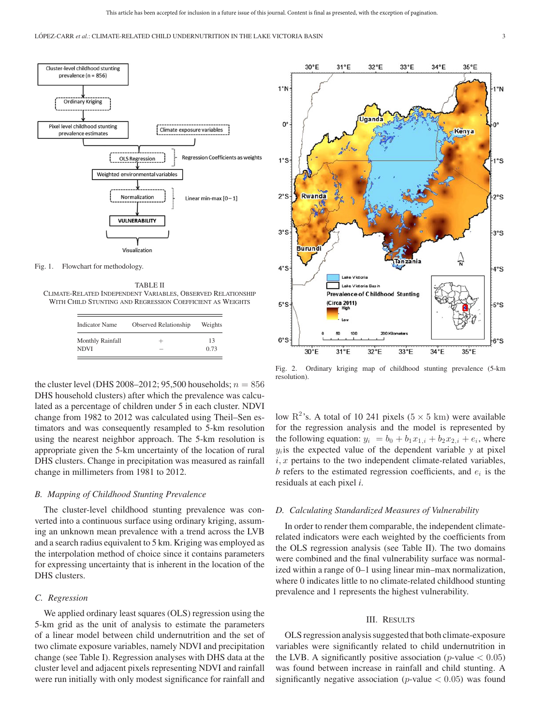#### LÓPEZ-CARR et al.: CLIMATE-RELATED CHILD UNDERNUTRITION IN THE LAKE VICTORIA BASIN 3





TABLE II CLIMATE-RELATED INDEPENDENT VARIABLES, OBSERVED RELATIONSHIP WITH CHILD STUNTING AND REGRESSION COEFFICIENT AS WEIGHTS

| <b>Indicator Name</b>           | Observed Relationship | Weights    |
|---------------------------------|-----------------------|------------|
| Monthly Rainfall<br><b>NDVI</b> |                       | 13<br>0.73 |

the cluster level (DHS 2008–2012; 95,500 households;  $n = 856$ DHS household clusters) after which the prevalence was calculated as a percentage of children under 5 in each cluster. NDVI change from 1982 to 2012 was calculated using Theil–Sen estimators and was consequently resampled to 5-km resolution using the nearest neighbor approach. The 5-km resolution is appropriate given the 5-km uncertainty of the location of rural DHS clusters. Change in precipitation was measured as rainfall change in millimeters from 1981 to 2012.

# *B. Mapping of Childhood Stunting Prevalence*

The cluster-level childhood stunting prevalence was converted into a continuous surface using ordinary kriging, assuming an unknown mean prevalence with a trend across the LVB and a search radius equivalent to 5 km. Kriging was employed as the interpolation method of choice since it contains parameters for expressing uncertainty that is inherent in the location of the DHS clusters.

## *C. Regression*

We applied ordinary least squares (OLS) regression using the 5-km grid as the unit of analysis to estimate the parameters of a linear model between child undernutrition and the set of two climate exposure variables, namely NDVI and precipitation change (see Table I). Regression analyses with DHS data at the cluster level and adjacent pixels representing NDVI and rainfall were run initially with only modest significance for rainfall and



Fig. 2. Ordinary kriging map of childhood stunting prevalence (5-km resolution).

low  $\mathbb{R}^2$ 's. A total of 10 241 pixels (5  $\times$  5 km) were available for the regression analysis and the model is represented by the following equation:  $y_i = b_0 + b_1x_{1,i} + b_2x_{2,i} + e_i$ , where  $y_i$  is the expected value of the dependent variable  $y$  at pixel  $i, x$  pertains to the two independent climate-related variables, *b* refers to the estimated regression coefficients, and  $e_i$  is the residuals at each pixel *i*.

## *D. Calculating Standardized Measures of Vulnerability*

In order to render them comparable, the independent climaterelated indicators were each weighted by the coefficients from the OLS regression analysis (see Table II). The two domains were combined and the final vulnerability surface was normalized within a range of 0–1 using linear min–max normalization, where 0 indicates little to no climate-related childhood stunting prevalence and 1 represents the highest vulnerability.

# III. RESULTS

OLS regression analysis suggested that both climate-exposure variables were significantly related to child undernutrition in the LVB. A significantly positive association (*p*-value  $< 0.05$ ) was found between increase in rainfall and child stunting. A significantly negative association ( $p$ -value  $< 0.05$ ) was found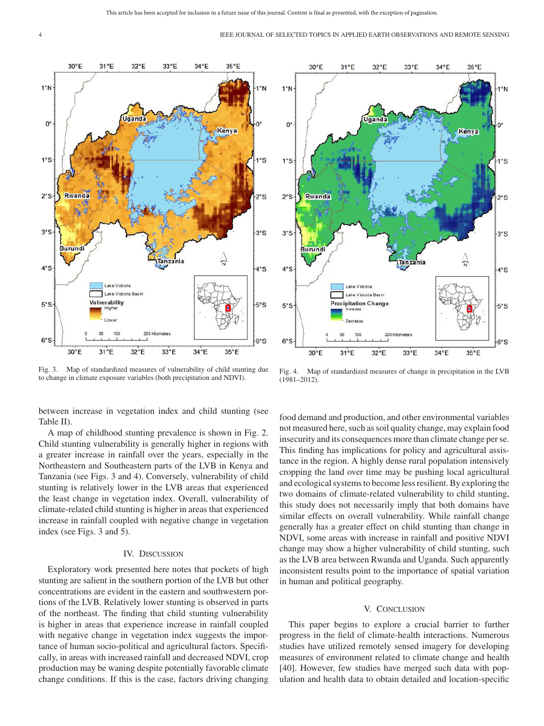

Fig. 3. Map of standardized measures of vulnerability of child stunting due to change in climate exposure variables (both precipitation and NDVI).

between increase in vegetation index and child stunting (see Table II).

A map of childhood stunting prevalence is shown in Fig. 2. Child stunting vulnerability is generally higher in regions with a greater increase in rainfall over the years, especially in the Northeastern and Southeastern parts of the LVB in Kenya and Tanzania (see Figs. 3 and 4). Conversely, vulnerability of child stunting is relatively lower in the LVB areas that experienced the least change in vegetation index. Overall, vulnerability of climate-related child stunting is higher in areas that experienced increase in rainfall coupled with negative change in vegetation index (see Figs. 3 and 5).

# IV. DISCUSSION

Exploratory work presented here notes that pockets of high stunting are salient in the southern portion of the LVB but other concentrations are evident in the eastern and southwestern portions of the LVB. Relatively lower stunting is observed in parts of the northeast. The finding that child stunting vulnerability is higher in areas that experience increase in rainfall coupled with negative change in vegetation index suggests the importance of human socio-political and agricultural factors. Specifically, in areas with increased rainfall and decreased NDVI, crop production may be waning despite potentially favorable climate change conditions. If this is the case, factors driving changing



Fig. 4. Map of standardized measures of change in precipitation in the LVB (1981–2012).

food demand and production, and other environmental variables not measured here, such as soil quality change, may explain food insecurity and its consequences more than climate change per se. This finding has implications for policy and agricultural assistance in the region. A highly dense rural population intensively cropping the land over time may be pushing local agricultural and ecological systems to become less resilient. By exploring the two domains of climate-related vulnerability to child stunting, this study does not necessarily imply that both domains have similar effects on overall vulnerability. While rainfall change generally has a greater effect on child stunting than change in NDVI, some areas with increase in rainfall and positive NDVI change may show a higher vulnerability of child stunting, such as the LVB area between Rwanda and Uganda. Such apparently inconsistent results point to the importance of spatial variation in human and political geography.

# V. CONCLUSION

This paper begins to explore a crucial barrier to further progress in the field of climate-health interactions. Numerous studies have utilized remotely sensed imagery for developing measures of environment related to climate change and health [40]. However, few studies have merged such data with population and health data to obtain detailed and location-specific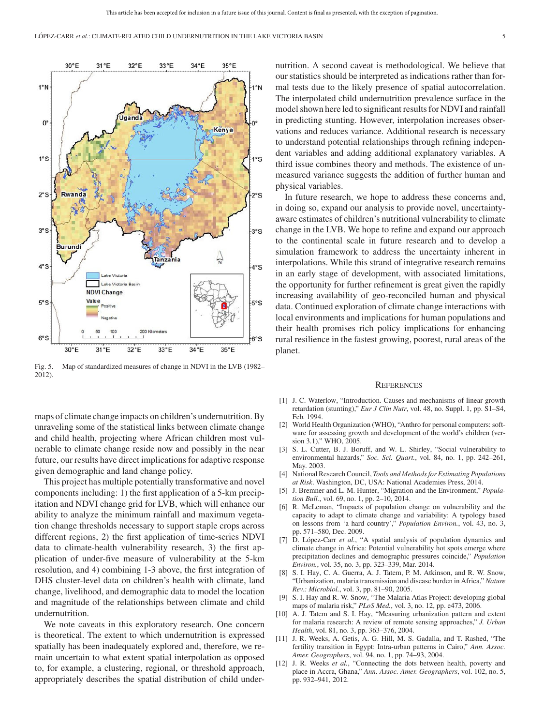

Fig. 5. Map of standardized measures of change in NDVI in the LVB (1982– 2012).

maps of climate change impacts on children's undernutrition. By unraveling some of the statistical links between climate change and child health, projecting where African children most vulnerable to climate change reside now and possibly in the near future, our results have direct implications for adaptive response given demographic and land change policy.

This project has multiple potentially transformative and novel components including: 1) the first application of a 5-km precipitation and NDVI change grid for LVB, which will enhance our ability to analyze the minimum rainfall and maximum vegetation change thresholds necessary to support staple crops across different regions, 2) the first application of time-series NDVI data to climate-health vulnerability research, 3) the first application of under-five measure of vulnerability at the 5-km resolution, and 4) combining 1-3 above, the first integration of DHS cluster-level data on children's health with climate, land change, livelihood, and demographic data to model the location and magnitude of the relationships between climate and child undernutrition.

We note caveats in this exploratory research. One concern is theoretical. The extent to which undernutrition is expressed spatially has been inadequately explored and, therefore, we remain uncertain to what extent spatial interpolation as opposed to, for example, a clustering, regional, or threshold approach, appropriately describes the spatial distribution of child undernutrition. A second caveat is methodological. We believe that our statistics should be interpreted as indications rather than formal tests due to the likely presence of spatial autocorrelation. The interpolated child undernutrition prevalence surface in the model shown here led to significant results for NDVI and rainfall in predicting stunting. However, interpolation increases observations and reduces variance. Additional research is necessary to understand potential relationships through refining independent variables and adding additional explanatory variables. A third issue combines theory and methods. The existence of unmeasured variance suggests the addition of further human and physical variables.

In future research, we hope to address these concerns and, in doing so, expand our analysis to provide novel, uncertaintyaware estimates of children's nutritional vulnerability to climate change in the LVB. We hope to refine and expand our approach to the continental scale in future research and to develop a simulation framework to address the uncertainty inherent in interpolations. While this strand of integrative research remains in an early stage of development, with associated limitations, the opportunity for further refinement is great given the rapidly increasing availability of geo-reconciled human and physical data. Continued exploration of climate change interactions with local environments and implications for human populations and their health promises rich policy implications for enhancing rural resilience in the fastest growing, poorest, rural areas of the planet.

## **REFERENCES**

- [1] J. C. Waterlow, "Introduction. Causes and mechanisms of linear growth retardation (stunting)," *Eur J Clin Nutr*, vol. 48, no. Suppl. 1, pp. S1–S4, Feb. 1994.
- [2] World Health Organization (WHO), "Anthro for personal computers: software for assessing growth and development of the world's children (version 3.1)," WHO, 2005.
- [3] S. L. Cutter, B. J. Boruff, and W. L. Shirley, "Social vulnerability to environmental hazards," *Soc. Sci. Quart.*, vol. 84, no. 1, pp. 242–261, May. 2003.
- [4] National Research Council, *Tools and Methods for Estimating Populations at Risk*. Washington, DC, USA: National Academies Press, 2014.
- [5] J. Bremner and L. M. Hunter, "Migration and the Environment," *Population Bull.*, vol. 69, no. 1, pp. 2–10, 2014.
- [6] R. McLeman, "Impacts of population change on vulnerability and the capacity to adapt to climate change and variability: A typology based on lessons from 'a hard country'," *Population Environ.*, vol. 43, no. 3, pp. 571–580, Dec. 2009.
- [7] D. López-Carr et al., "A spatial analysis of population dynamics and climate change in Africa: Potential vulnerability hot spots emerge where precipitation declines and demographic pressures coincide," *Population Environ.*, vol. 35, no. 3, pp. 323–339, Mar. 2014.
- [8] S. I. Hay, C. A. Guerra, A. J. Tatem, P. M. Atkinson, and R. W. Snow, "Urbanization, malaria transmission and disease burden in Africa," *Nature Rev.: Microbiol.*, vol. 3, pp. 81–90, 2005.
- [9] S. I. Hay and R. W. Snow, "The Malaria Atlas Project: developing global maps of malaria risk," *PLoS Med.*, vol. 3, no. 12, pp. e473, 2006.
- [10] A. J. Tatem and S. I. Hay, "Measuring urbanization pattern and extent for malaria research: A review of remote sensing approaches," *J. Urban Health*, vol. 81, no. 3, pp. 363–376, 2004.
- [11] J. R. Weeks, A. Getis, A. G. Hill, M. S. Gadalla, and T. Rashed, "The fertility transition in Egypt: Intra-urban patterns in Cairo," *Ann. Assoc. Amer. Geographers*, vol. 94, no. 1, pp. 74–93, 2004.
- [12] J. R. Weeks *et al.*, "Connecting the dots between health, poverty and place in Accra, Ghana," *Ann. Assoc. Amer. Geographers*, vol. 102, no. 5, pp. 932–941, 2012.